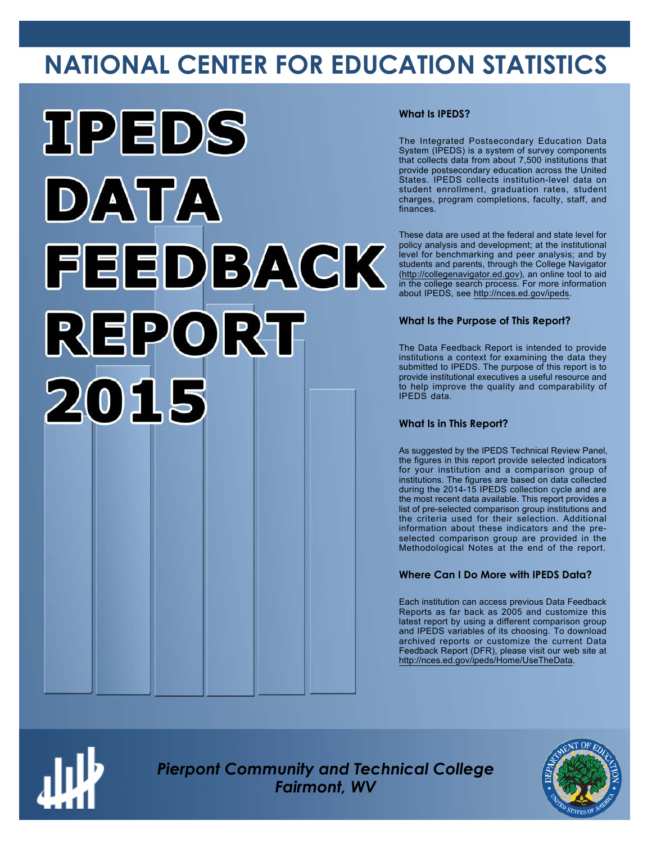# **NATIONAL CENTER FOR EDUCATION STATISTICS**



#### **What Is IPEDS?**

The Integrated Postsecondary Education Data System (IPEDS) is a system of survey components that collects data from about 7,500 institutions that provide postsecondary education across the United States. IPEDS collects institution-level data on student enrollment, graduation rates, student charges, program completions, faculty, staff, and finances.

These data are used at the federal and state level for policy analysis and development; at the institutional level for benchmarking and peer analysis; and by students and parents, through the College Navigator ([http://collegenavigator.ed.gov\)](http://collegenavigator.ed.gov), an online tool to aid in the college search process. For more information about IPEDS, see [http://nces.ed.gov/ipeds.](http://nces.ed.gov/ipeds)

#### **What Is the Purpose of This Report?**

The Data Feedback Report is intended to provide institutions a context for examining the data they submitted to IPEDS. The purpose of this report is to provide institutional executives a useful resource and to help improve the quality and comparability of IPEDS data.

#### **What Is in This Report?**

As suggested by the IPEDS Technical Review Panel, the figures in this report provide selected indicators for your institution and a comparison group of institutions. The figures are based on data collected during the 2014-15 IPEDS collection cycle and are the most recent data available. This report provides a list of pre-selected comparison group institutions and the criteria used for their selection. Additional information about these indicators and the preselected comparison group are provided in the Methodological Notes at the end of the report.

#### **Where Can I Do More with IPEDS Data?**

Each institution can access previous Data Feedback Reports as far back as 2005 and customize this latest report by using a different comparison group and IPEDS variables of its choosing. To download archived reports or customize the current Data Feedback Report (DFR), please visit our web site at [http://nces.ed.gov/ipeds/Home/UseTheData.](http://nces.ed.gov/ipeds/Home/UseTheData)



*Pierpont Community and Technical College Fairmont, WV*

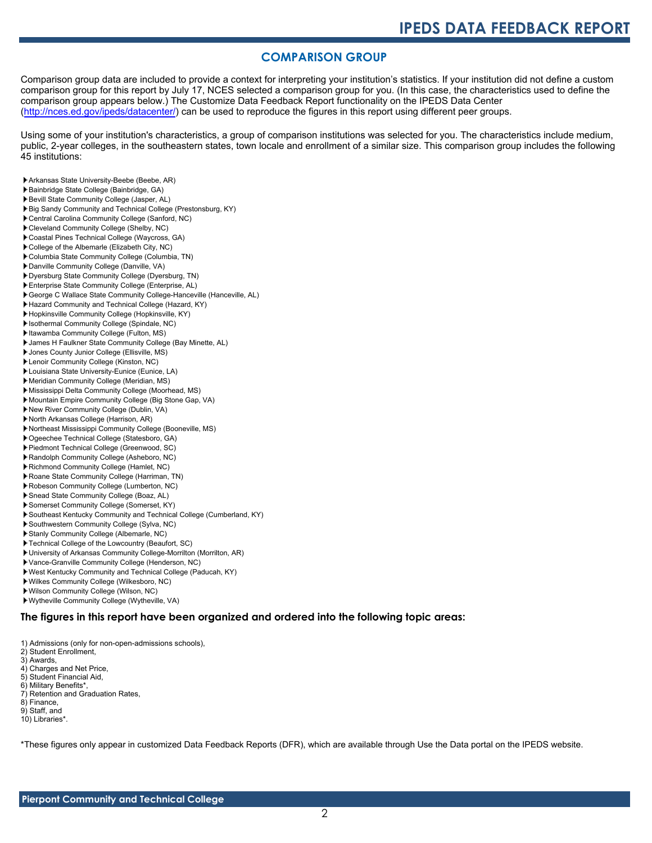#### **COMPARISON GROUP**

Comparison group data are included to provide a context for interpreting your institution's statistics. If your institution did not define a custom comparison group for this report by July 17, NCES selected a comparison group for you. (In this case, the characteristics used to define the comparison group appears below.) The Customize Data Feedback Report functionality on the IPEDS Data Center [\(http://nces.ed.gov/ipeds/datacenter/\)](http://nces.ed.gov/ipeds/datacenter/) can be used to reproduce the figures in this report using different peer groups.

Using some of your institution's characteristics, a group of comparison institutions was selected for you. The characteristics include medium, public, 2-year colleges, in the southeastern states, town locale and enrollment of a similar size. This comparison group includes the following 45 institutions:

- Arkansas State University-Beebe (Beebe, AR)
- Bainbridge State College (Bainbridge, GA)
- Bevill State Community College (Jasper, AL)
- Big Sandy Community and Technical College (Prestonsburg, KY)
- Central Carolina Community College (Sanford, NC)
- Cleveland Community College (Shelby, NC)
- Coastal Pines Technical College (Waycross, GA)
- College of the Albemarle (Elizabeth City, NC)
- Columbia State Community College (Columbia, TN)
- Danville Community College (Danville, VA)
- Dyersburg State Community College (Dyersburg, TN) Enterprise State Community College (Enterprise, AL)
- George C Wallace State Community College-Hanceville (Hanceville, AL)
- Hazard Community and Technical College (Hazard, KY)
- Hopkinsville Community College (Hopkinsville, KY)
- Isothermal Community College (Spindale, NC)
- Itawamba Community College (Fulton, MS)
- James H Faulkner State Community College (Bay Minette, AL)
- Jones County Junior College (Ellisville, MS)
- Lenoir Community College (Kinston, NC)
- Louisiana State University-Eunice (Eunice, LA)
- Meridian Community College (Meridian, MS)
- Mississippi Delta Community College (Moorhead, MS)
- Mountain Empire Community College (Big Stone Gap, VA)
- New River Community College (Dublin, VA)
- North Arkansas College (Harrison, AR)
- Northeast Mississippi Community College (Booneville, MS)
- Ogeechee Technical College (Statesboro, GA)
- Piedmont Technical College (Greenwood, SC)
- Randolph Community College (Asheboro, NC)
- Richmond Community College (Hamlet, NC)
- Roane State Community College (Harriman, TN)
- Robeson Community College (Lumberton, NC)
- Snead State Community College (Boaz, AL)
- Somerset Community College (Somerset, KY)
- Southeast Kentucky Community and Technical College (Cumberland, KY)
- Southwestern Community College (Sylva, NC)
- Stanly Community College (Albemarle, NC)
- Technical College of the Lowcountry (Beaufort, SC)
- University of Arkansas Community College-Morrilton (Morrilton, AR)
- Vance-Granville Community College (Henderson, NC)
- West Kentucky Community and Technical College (Paducah, KY)
- Wilkes Community College (Wilkesboro, NC)
- Wilson Community College (Wilson, NC)
- Wytheville Community College (Wytheville, VA)

#### **The figures in this report have been organized and ordered into the following topic areas:**

- 1) Admissions (only for non-open-admissions schools),
- 2) Student Enrollment,
- 3) Awards,
- 4) Charges and Net Price, 5) Student Financial Aid,
- 6) Military Benefits\*,
- 7) Retention and Graduation Rates,
- 8) Finance,
- 9) Staff, and
- 10) Libraries\*.
- 

\*These figures only appear in customized Data Feedback Reports (DFR), which are available through Use the Data portal on the IPEDS website.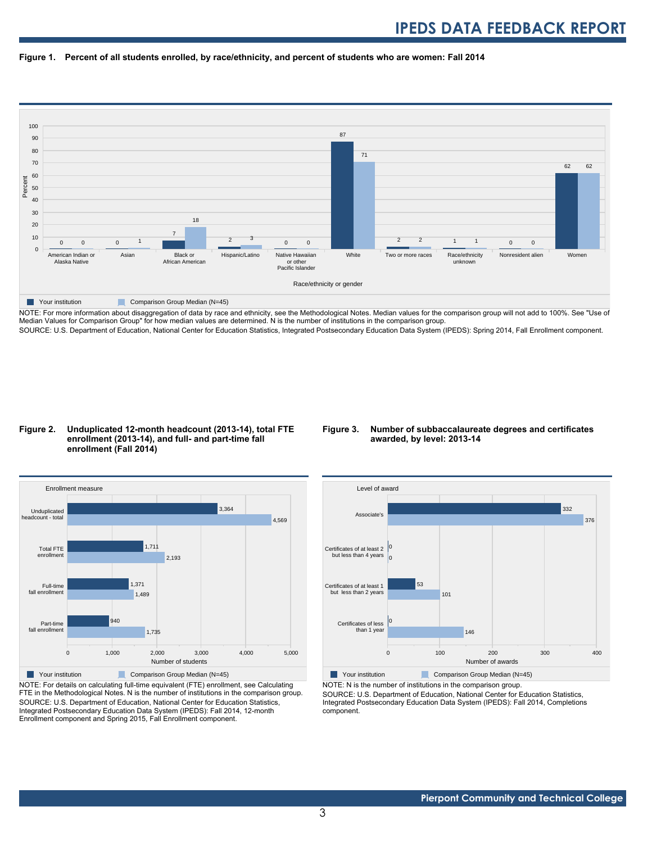



NOTE: For more information about disaggregation of data by race and ethnicity, see the Methodological Notes. Median values for the comparison group will not add to 100%. See "Use of Median Values for Comparison Group" for how median values are determined. N is the number of institutions in the comparison group. SOURCE: U.S. Department of Education, National Center for Education Statistics, Integrated Postsecondary Education Data System (IPEDS): Spring 2014, Fall Enrollment component.

#### **Figure 2. Unduplicated 12-month headcount (2013-14), total FTE enrollment (2013-14), and full- and part-time fall enrollment (Fall 2014)**

#### **Figure 3. Number of subbaccalaureate degrees and certificates awarded, by level: 2013-14**



NOTE: For details on calculating full-time equivalent (FTE) enrollment, see Calculating FTE in the Methodological Notes. N is the number of institutions in the comparison group. SOURCE: U.S. Department of Education, National Center for Education Statistics, Integrated Postsecondary Education Data System (IPEDS): Fall 2014, 12-month Enrollment component and Spring 2015, Fall Enrollment component.



Your institution Comparison Group Median (N=45)

NOTE: N is the number of institutions in the comparison group.

SOURCE: U.S. Department of Education, National Center for Education Statistics, Integrated Postsecondary Education Data System (IPEDS): Fall 2014, Completions component.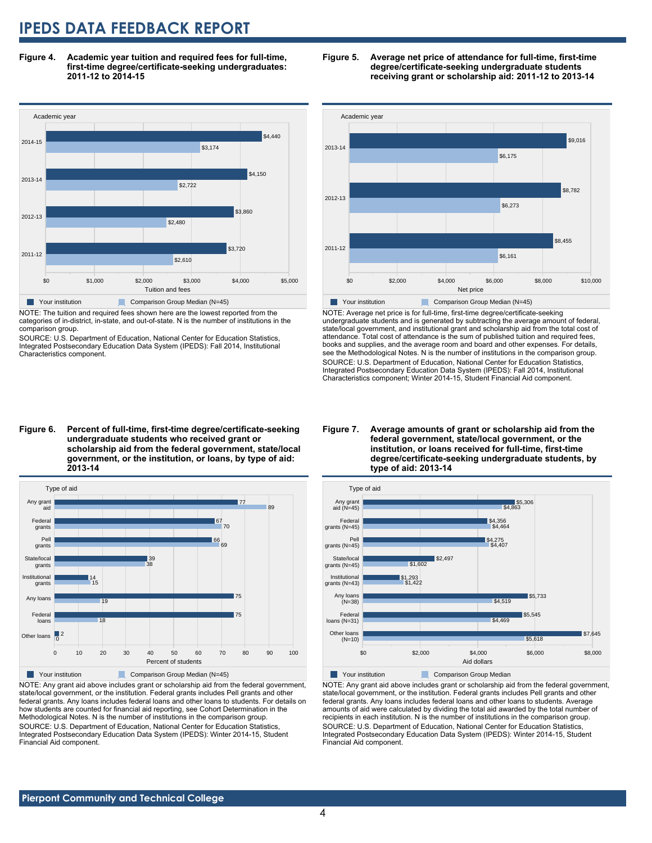**Figure 4. Academic year tuition and required fees for full-time, first-time degree/certificate-seeking undergraduates: 2011-12 to 2014-15**



NOTE: The tuition and required fees shown here are the lowest reported from the categories of in-district, in-state, and out-of-state. N is the number of institutions in the comparison group.

SOURCE: U.S. Department of Education, National Center for Education Statistics, Integrated Postsecondary Education Data System (IPEDS): Fall 2014, Institutional Characteristics component.





NOTE: Average net price is for full-time, first-time degree/certificate-seeking undergraduate students and is generated by subtracting the average amount of federal, state/local government, and institutional grant and scholarship aid from the total cost of attendance. Total cost of attendance is the sum of published tuition and required fees, books and supplies, and the average room and board and other expenses. For details, see the Methodological Notes. N is the number of institutions in the comparison group. SOURCE: U.S. Department of Education, National Center for Education Statistics, Integrated Postsecondary Education Data System (IPEDS): Fall 2014, Institutional Characteristics component; Winter 2014-15, Student Financial Aid component.

**Figure 6. Percent of full-time, first-time degree/certificate-seeking undergraduate students who received grant or scholarship aid from the federal government, state/local government, or the institution, or loans, by type of aid: 2013-14**



NOTE: Any grant aid above includes grant or scholarship aid from the federal government, state/local government, or the institution. Federal grants includes Pell grants and other federal grants. Any loans includes federal loans and other loans to students. For details on how students are counted for financial aid reporting, see Cohort Determination in the Methodological Notes. N is the number of institutions in the comparison group. SOURCE: U.S. Department of Education, National Center for Education Statistics, Integrated Postsecondary Education Data System (IPEDS): Winter 2014-15, Student Financial Aid component.

#### **Figure 7. Average amounts of grant or scholarship aid from the federal government, state/local government, or the institution, or loans received for full-time, first-time degree/certificate-seeking undergraduate students, by type of aid: 2013-14**



NOTE: Any grant aid above includes grant or scholarship aid from the federal government, state/local government, or the institution. Federal grants includes Pell grants and other federal grants. Any loans includes federal loans and other loans to students. Average amounts of aid were calculated by dividing the total aid awarded by the total number of recipients in each institution. N is the number of institutions in the comparison group. SOURCE: U.S. Department of Education, National Center for Education Statistics, Integrated Postsecondary Education Data System (IPEDS): Winter 2014-15, Student Financial Aid component.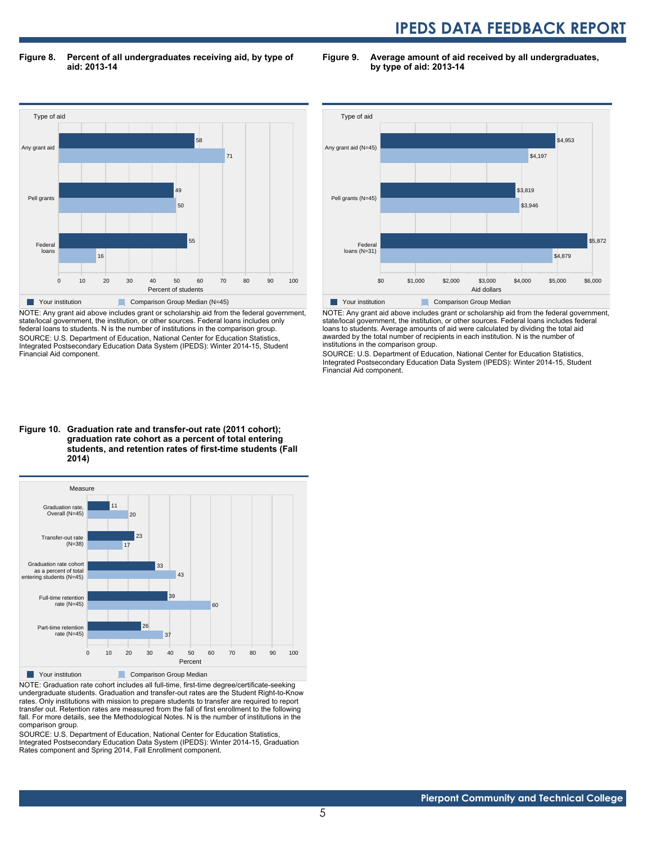**Figure 8. Percent of all undergraduates receiving aid, by type of aid: 2013-14**

**Figure 9. Average amount of aid received by all undergraduates, by type of aid: 2013-14**



NOTE: Any grant aid above includes grant or scholarship aid from the federal government, state/local government, the institution, or other sources. Federal loans includes only federal loans to students. N is the number of institutions in the comparison group. SOURCE: U.S. Department of Education, National Center for Education Statistics, Integrated Postsecondary Education Data System (IPEDS): Winter 2014-15, Student Financial Aid component.



NOTE: Any grant aid above includes grant or scholarship aid from the federal government, state/local government, the institution, or other sources. Federal loans includes federal loans to students. Average amounts of aid were calculated by dividing the total aid awarded by the total number of recipients in each institution. N is the number of institutions in the comparison group.

SOURCE: U.S. Department of Education, National Center for Education Statistics, Integrated Postsecondary Education Data System (IPEDS): Winter 2014-15, Student Financial Aid component.

#### **Figure 10. Graduation rate and transfer-out rate (2011 cohort); graduation rate cohort as a percent of total entering students, and retention rates of first-time students (Fall 2014)**



NOTE: Graduation rate cohort includes all full-time, first-time degree/certificate-seeking undergraduate students. Graduation and transfer-out rates are the Student Right-to-Know rates. Only institutions with mission to prepare students to transfer are required to report transfer out. Retention rates are measured from the fall of first enrollment to the following fall. For more details, see the Methodological Notes. N is the number of institutions in the comparison group.

SOURCE: U.S. Department of Education, National Center for Education Statistics, Integrated Postsecondary Education Data System (IPEDS): Winter 2014-15, Graduation Rates component and Spring 2014, Fall Enrollment component.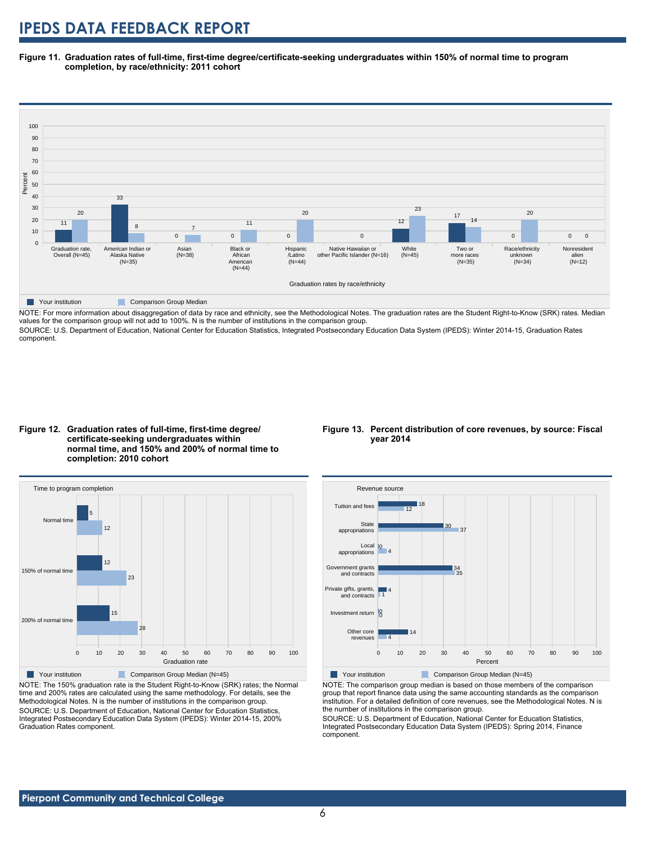**Figure 11. Graduation rates of full-time, first-time degree/certificate-seeking undergraduates within 150% of normal time to program completion, by race/ethnicity: 2011 cohort**



NOTE: For more information about disaggregation of data by race and ethnicity, see the Methodological Notes. The graduation rates are the Student Right-to-Know (SRK) rates. Median values for the comparison group will not add to 100%. N is the number of institutions in the comparison group.

SOURCE: U.S. Department of Education, National Center for Education Statistics, Integrated Postsecondary Education Data System (IPEDS): Winter 2014-15, Graduation Rates component.





NOTE: The 150% graduation rate is the Student Right-to-Know (SRK) rates; the Normal time and 200% rates are calculated using the same methodology. For details, see the Methodological Notes. N is the number of institutions in the comparison group. SOURCE: U.S. Department of Education, National Center for Education Statistics, Integrated Postsecondary Education Data System (IPEDS): Winter 2014-15, 200% Graduation Rates component.

#### **Figure 13. Percent distribution of core revenues, by source: Fiscal year 2014**



NOTE: The comparison group median is based on those members of the comparison group that report finance data using the same accounting standards as the comparison institution. For a detailed definition of core revenues, see the Methodological Notes. N is the number of institutions in the comparison group.

SOURCE: U.S. Department of Education, National Center for Education Statistics, Integrated Postsecondary Education Data System (IPEDS): Spring 2014, Finance component.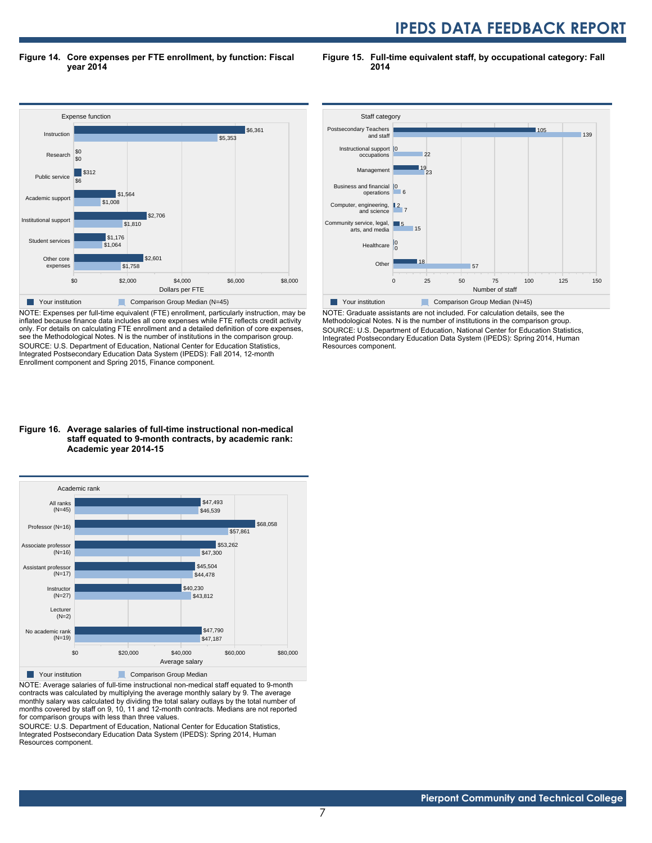**Figure 14. Core expenses per FTE enrollment, by function: Fiscal year 2014**

**Figure 15. Full-time equivalent staff, by occupational category: Fall 2014**



NOTE: Expenses per full-time equivalent (FTE) enrollment, particularly instruction, may be inflated because finance data includes all core expenses while FTE reflects credit activity only. For details on calculating FTE enrollment and a detailed definition of core expenses, see the Methodological Notes. N is the number of institutions in the comparison group. SOURCE: U.S. Department of Education, National Center for Education Statistics, Integrated Postsecondary Education Data System (IPEDS): Fall 2014, 12-month Enrollment component and Spring 2015, Finance component.





NOTE: Average salaries of full-time instructional non-medical staff equated to 9-month contracts was calculated by multiplying the average monthly salary by 9. The average monthly salary was calculated by dividing the total salary outlays by the total number of months covered by staff on 9, 10, 11 and 12-month contracts. Medians are not reported for comparison groups with less than three values.

SOURCE: U.S. Department of Education, National Center for Education Statistics, Integrated Postsecondary Education Data System (IPEDS): Spring 2014, Human Resources component.



NOTE: Graduate assistants are not included. For calculation details, see the Methodological Notes. N is the number of institutions in the comparison group. SOURCE: U.S. Department of Education, National Center for Education Statistics, Integrated Postsecondary Education Data System (IPEDS): Spring 2014, Human Resources component.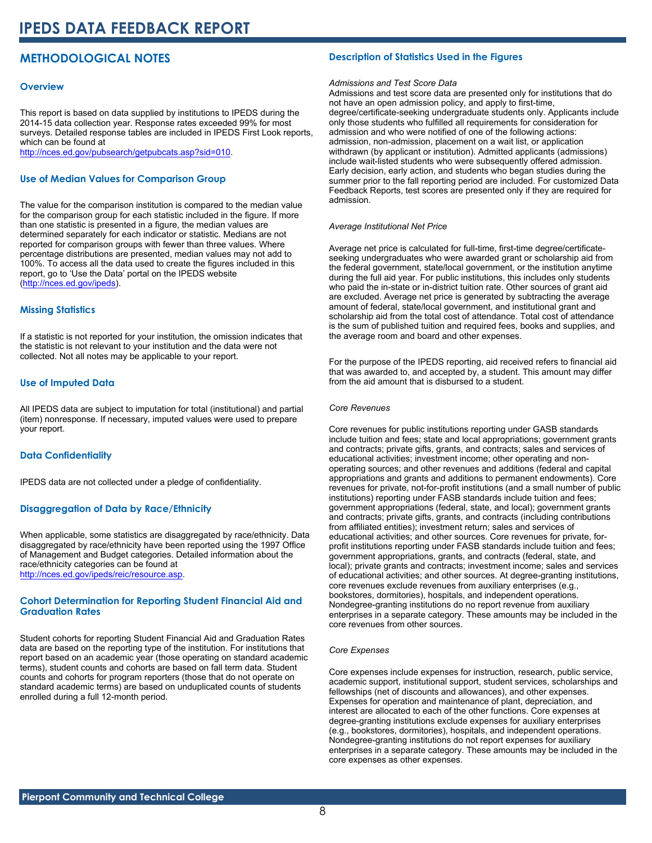### **METHODOLOGICAL NOTES**

#### **Overview**

This report is based on data supplied by institutions to IPEDS during the 2014-15 data collection year. Response rates exceeded 99% for most surveys. Detailed response tables are included in IPEDS First Look reports, which can be found at [http://nces.ed.gov/pubsearch/getpubcats.asp?sid=010.](http://nces.ed.gov/pubsearch/getpubcats.asp?sid=010)

#### **Use of Median Values for Comparison Group**

The value for the comparison institution is compared to the median value for the comparison group for each statistic included in the figure. If more than one statistic is presented in a figure, the median values are determined separately for each indicator or statistic. Medians are not reported for comparison groups with fewer than three values. Where percentage distributions are presented, median values may not add to 100%. To access all the data used to create the figures included in this report, go to 'Use the Data' portal on the IPEDS website ([http://nces.ed.gov/ipeds\)](http://nces.ed.gov/ipeds).

#### **Missing Statistics**

If a statistic is not reported for your institution, the omission indicates that the statistic is not relevant to your institution and the data were not collected. Not all notes may be applicable to your report.

#### **Use of Imputed Data**

All IPEDS data are subject to imputation for total (institutional) and partial (item) nonresponse. If necessary, imputed values were used to prepare your report.

#### **Data Confidentiality**

IPEDS data are not collected under a pledge of confidentiality.

#### **Disaggregation of Data by Race/Ethnicity**

When applicable, some statistics are disaggregated by race/ethnicity. Data disaggregated by race/ethnicity have been reported using the 1997 Office of Management and Budget categories. Detailed information about the race/ethnicity categories can be found at <http://nces.ed.gov/ipeds/reic/resource.asp>.

#### **Cohort Determination for Reporting Student Financial Aid and Graduation Rates**

Student cohorts for reporting Student Financial Aid and Graduation Rates data are based on the reporting type of the institution. For institutions that report based on an academic year (those operating on standard academic terms), student counts and cohorts are based on fall term data. Student counts and cohorts for program reporters (those that do not operate on standard academic terms) are based on unduplicated counts of students enrolled during a full 12-month period.

#### **Description of Statistics Used in the Figures**

#### *Admissions and Test Score Data*

Admissions and test score data are presented only for institutions that do not have an open admission policy, and apply to first-time, degree/certificate-seeking undergraduate students only. Applicants include only those students who fulfilled all requirements for consideration for admission and who were notified of one of the following actions: admission, non-admission, placement on a wait list, or application withdrawn (by applicant or institution). Admitted applicants (admissions) include wait-listed students who were subsequently offered admission. Early decision, early action, and students who began studies during the summer prior to the fall reporting period are included. For customized Data Feedback Reports, test scores are presented only if they are required for admission.

#### *Average Institutional Net Price*

Average net price is calculated for full-time, first-time degree/certificateseeking undergraduates who were awarded grant or scholarship aid from the federal government, state/local government, or the institution anytime during the full aid year. For public institutions, this includes only students who paid the in-state or in-district tuition rate. Other sources of grant aid are excluded. Average net price is generated by subtracting the average amount of federal, state/local government, and institutional grant and scholarship aid from the total cost of attendance. Total cost of attendance is the sum of published tuition and required fees, books and supplies, and the average room and board and other expenses.

For the purpose of the IPEDS reporting, aid received refers to financial aid that was awarded to, and accepted by, a student. This amount may differ from the aid amount that is disbursed to a student.

#### *Core Revenues*

Core revenues for public institutions reporting under GASB standards include tuition and fees; state and local appropriations; government grants and contracts; private gifts, grants, and contracts; sales and services of educational activities; investment income; other operating and nonoperating sources; and other revenues and additions (federal and capital appropriations and grants and additions to permanent endowments). Core revenues for private, not-for-profit institutions (and a small number of public institutions) reporting under FASB standards include tuition and fees; government appropriations (federal, state, and local); government grants and contracts; private gifts, grants, and contracts (including contributions from affiliated entities); investment return; sales and services of educational activities; and other sources. Core revenues for private, forprofit institutions reporting under FASB standards include tuition and fees; government appropriations, grants, and contracts (federal, state, and local); private grants and contracts; investment income; sales and services of educational activities; and other sources. At degree-granting institutions, core revenues exclude revenues from auxiliary enterprises (e.g., bookstores, dormitories), hospitals, and independent operations. Nondegree-granting institutions do no report revenue from auxiliary enterprises in a separate category. These amounts may be included in the core revenues from other sources.

#### *Core Expenses*

Core expenses include expenses for instruction, research, public service, academic support, institutional support, student services, scholarships and fellowships (net of discounts and allowances), and other expenses. Expenses for operation and maintenance of plant, depreciation, and interest are allocated to each of the other functions. Core expenses at degree-granting institutions exclude expenses for auxiliary enterprises (e.g., bookstores, dormitories), hospitals, and independent operations. Nondegree-granting institutions do not report expenses for auxiliary enterprises in a separate category. These amounts may be included in the core expenses as other expenses.